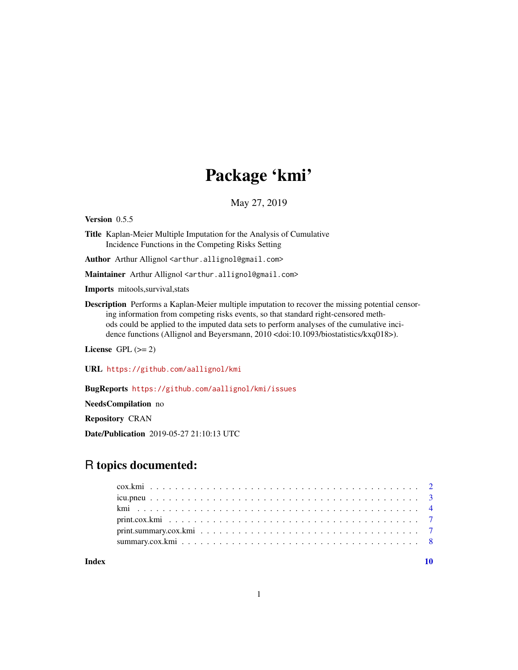## Package 'kmi'

May 27, 2019

<span id="page-0-0"></span>Version 0.5.5

Title Kaplan-Meier Multiple Imputation for the Analysis of Cumulative Incidence Functions in the Competing Risks Setting

Author Arthur Allignol <arthur.allignol@gmail.com>

Maintainer Arthur Allignol <arthur.allignol@gmail.com>

Imports mitools,survival,stats

Description Performs a Kaplan-Meier multiple imputation to recover the missing potential censoring information from competing risks events, so that standard right-censored methods could be applied to the imputed data sets to perform analyses of the cumulative incidence functions (Allignol and Beyersmann, 2010 <doi:10.1093/biostatistics/kxq018>).

License GPL  $(>= 2)$ 

URL <https://github.com/aallignol/kmi>

BugReports <https://github.com/aallignol/kmi/issues>

NeedsCompilation no

Repository CRAN

Date/Publication 2019-05-27 21:10:13 UTC

## R topics documented:

 $\blacksquare$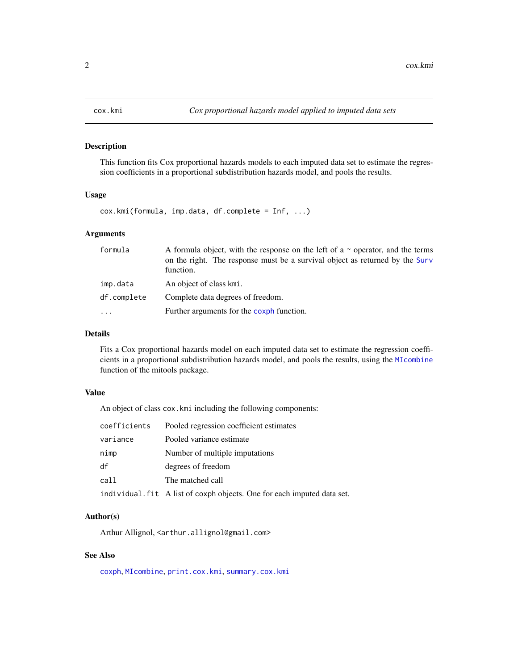<span id="page-1-1"></span><span id="page-1-0"></span>

#### Description

This function fits Cox proportional hazards models to each imputed data set to estimate the regression coefficients in a proportional subdistribution hazards model, and pools the results.

#### Usage

cox.kmi(formula, imp.data, df.complete = Inf, ...)

#### Arguments

| formula     | A formula object, with the response on the left of a $\sim$ operator, and the terms<br>on the right. The response must be a survival object as returned by the Surv<br>function. |
|-------------|----------------------------------------------------------------------------------------------------------------------------------------------------------------------------------|
| imp.data    | An object of class kmi.                                                                                                                                                          |
| df.complete | Complete data degrees of freedom.                                                                                                                                                |
| $\ddotsc$   | Further arguments for the coxph function.                                                                                                                                        |

#### Details

Fits a Cox proportional hazards model on each imputed data set to estimate the regression coefficients in a proportional subdistribution hazards model, and pools the results, using the [MIcombine](#page-0-0) function of the mitools package.

#### Value

An object of class cox.kmi including the following components:

| coefficients | Pooled regression coefficient estimates                                 |
|--------------|-------------------------------------------------------------------------|
| variance     | Pooled variance estimate                                                |
| nimp         | Number of multiple imputations                                          |
| df           | degrees of freedom                                                      |
| call         | The matched call                                                        |
|              | individual. fit A list of coxph objects. One for each imputed data set. |

#### Author(s)

Arthur Allignol, <arthur.allignol@gmail.com>

#### See Also

[coxph](#page-0-0), [MIcombine](#page-0-0), [print.cox.kmi](#page-6-1), [summary.cox.kmi](#page-7-1)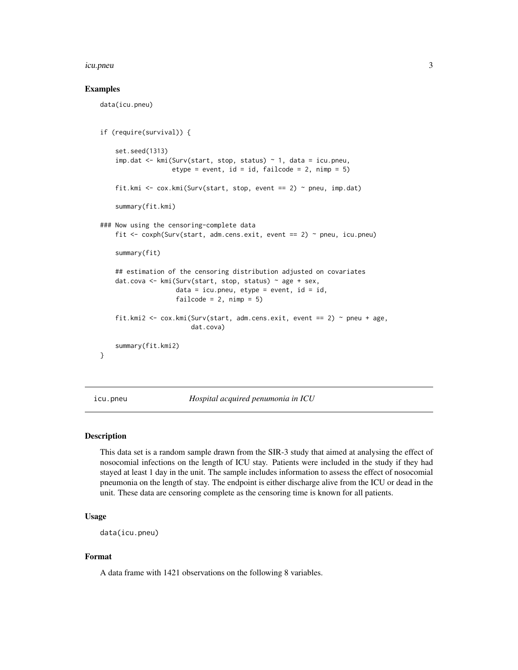#### <span id="page-2-0"></span>icu.pneu 3

#### Examples

data(icu.pneu)

```
if (require(survival)) {
    set.seed(1313)
    imp.dat \leq kmi(Surv(start, stop, status) \sim 1, data = icu.pneu,
                   etype = event, id = id, failcode = 2, nimp = 5)
    fit.kmi <- cox.kmi(Surv(start, stop, event == 2) ~ pneu, imp.dat)
    summary(fit.kmi)
### Now using the censoring-complete data
    fit <- coxph(Surv(start, adm.cens.exit, event == 2) ~ pneu, icu.pneu)
    summary(fit)
    ## estimation of the censoring distribution adjusted on covariates
   dat.cova <- kmi(Surv(start, stop, status) ~ age + sex,
                    data = icu.pneu, etype = event, id = id,
                    failcode = 2, nimp = 5)
    fit.kmi2 <- cox.kmi(Surv(start, adm.cens.exit, event == 2) ~ pneu + age,
                        dat.cova)
    summary(fit.kmi2)
}
```
<span id="page-2-1"></span>

icu.pneu *Hospital acquired penumonia in ICU*

#### Description

This data set is a random sample drawn from the SIR-3 study that aimed at analysing the effect of nosocomial infections on the length of ICU stay. Patients were included in the study if they had stayed at least 1 day in the unit. The sample includes information to assess the effect of nosocomial pneumonia on the length of stay. The endpoint is either discharge alive from the ICU or dead in the unit. These data are censoring complete as the censoring time is known for all patients.

#### Usage

```
data(icu.pneu)
```
#### Format

A data frame with 1421 observations on the following 8 variables.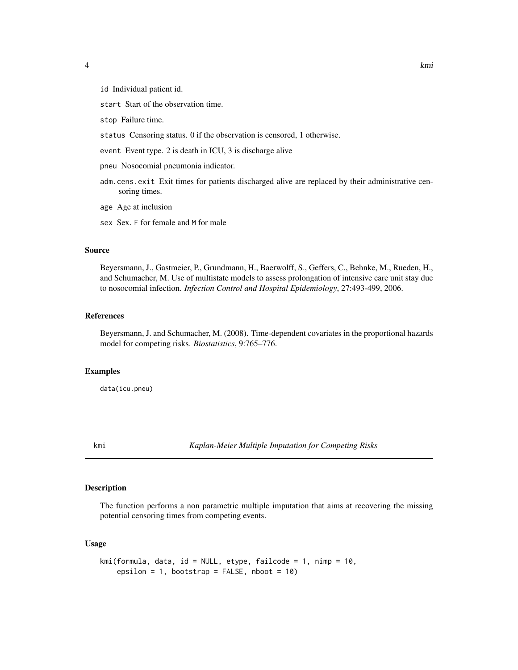<span id="page-3-0"></span>id Individual patient id.

start Start of the observation time.

stop Failure time.

- status Censoring status. 0 if the observation is censored, 1 otherwise.
- event Event type. 2 is death in ICU, 3 is discharge alive

pneu Nosocomial pneumonia indicator.

- adm.cens.exit Exit times for patients discharged alive are replaced by their administrative censoring times.
- age Age at inclusion

sex Sex. F for female and M for male

#### Source

Beyersmann, J., Gastmeier, P., Grundmann, H., Baerwolff, S., Geffers, C., Behnke, M., Rueden, H., and Schumacher, M. Use of multistate models to assess prolongation of intensive care unit stay due to nosocomial infection. *Infection Control and Hospital Epidemiology*, 27:493-499, 2006.

#### References

Beyersmann, J. and Schumacher, M. (2008). Time-dependent covariates in the proportional hazards model for competing risks. *Biostatistics*, 9:765–776.

#### Examples

data(icu.pneu)

kmi *Kaplan-Meier Multiple Imputation for Competing Risks*

## Description

The function performs a non parametric multiple imputation that aims at recovering the missing potential censoring times from competing events.

#### Usage

```
kmi(formula, data, id = NULL, etype, failcode = 1, nimp = 10,
   epsilon = 1, bootstrap = FALSE, nboot = 10)
```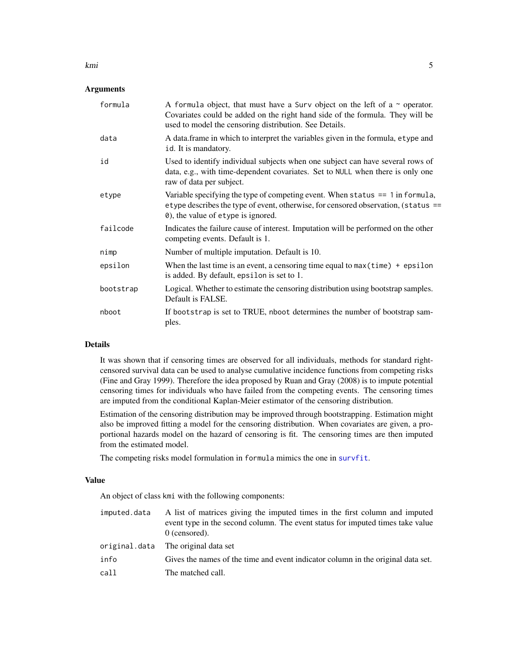#### **Arguments**

| formula   | A formula object, that must have a Surv object on the left of a $\sim$ operator.<br>Covariates could be added on the right hand side of the formula. They will be<br>used to model the censoring distribution. See Details. |
|-----------|-----------------------------------------------------------------------------------------------------------------------------------------------------------------------------------------------------------------------------|
| data      | A data frame in which to interpret the variables given in the formula, etype and<br>id. It is mandatory.                                                                                                                    |
| id        | Used to identify individual subjects when one subject can have several rows of<br>data, e.g., with time-dependent covariates. Set to NULL when there is only one<br>raw of data per subject.                                |
| etype     | Variable specifying the type of competing event. When status $== 1$ in formula,<br>etype describes the type of event, otherwise, for censored observation, (status ==<br>0), the value of etype is ignored.                 |
| failcode  | Indicates the failure cause of interest. Imputation will be performed on the other<br>competing events. Default is 1.                                                                                                       |
| nimp      | Number of multiple imputation. Default is 10.                                                                                                                                                                               |
| epsilon   | When the last time is an event, a censoring time equal to $max(time)$ + epsilon<br>is added. By default, epsilon is set to 1.                                                                                               |
| bootstrap | Logical. Whether to estimate the censoring distribution using bootstrap samples.<br>Default is FALSE.                                                                                                                       |
| nboot     | If bootstrap is set to TRUE, nboot determines the number of bootstrap sam-<br>ples.                                                                                                                                         |

#### Details

It was shown that if censoring times are observed for all individuals, methods for standard rightcensored survival data can be used to analyse cumulative incidence functions from competing risks (Fine and Gray 1999). Therefore the idea proposed by Ruan and Gray (2008) is to impute potential censoring times for individuals who have failed from the competing events. The censoring times are imputed from the conditional Kaplan-Meier estimator of the censoring distribution.

Estimation of the censoring distribution may be improved through bootstrapping. Estimation might also be improved fitting a model for the censoring distribution. When covariates are given, a proportional hazards model on the hazard of censoring is fit. The censoring times are then imputed from the estimated model.

The competing risks model formulation in formula mimics the one in [survfit](#page-0-0).

#### Value

An object of class kmi with the following components:

| imputed.data | A list of matrices giving the imputed times in the first column and imputed<br>event type in the second column. The event status for imputed times take value<br>$0$ (censored). |
|--------------|----------------------------------------------------------------------------------------------------------------------------------------------------------------------------------|
|              | original.data The original data set                                                                                                                                              |
| info         | Gives the names of the time and event indicator column in the original data set.                                                                                                 |
| call         | The matched call.                                                                                                                                                                |

<span id="page-4-0"></span>kmi 50 km s to 10 km s to 10 km s to 10 km s to 10 km s to 10 km s to 10 km s to 10 km s to 10 km s to 10 km s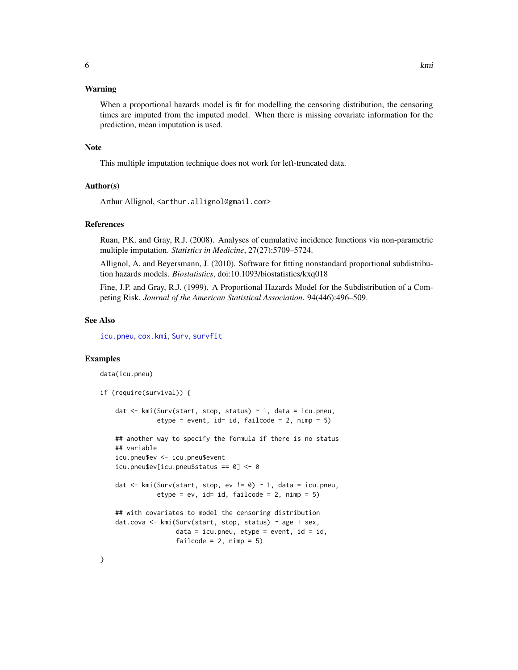#### <span id="page-5-0"></span>Warning

When a proportional hazards model is fit for modelling the censoring distribution, the censoring times are imputed from the imputed model. When there is missing covariate information for the prediction, mean imputation is used.

#### **Note**

This multiple imputation technique does not work for left-truncated data.

#### Author(s)

Arthur Allignol, <arthur.allignol@gmail.com>

#### References

Ruan, P.K. and Gray, R.J. (2008). Analyses of cumulative incidence functions via non-parametric multiple imputation. *Statistics in Medicine*, 27(27):5709–5724.

Allignol, A. and Beyersmann, J. (2010). Software for fitting nonstandard proportional subdistribution hazards models. *Biostatistics*, doi:10.1093/biostatistics/kxq018

Fine, J.P. and Gray, R.J. (1999). A Proportional Hazards Model for the Subdistribution of a Competing Risk. *Journal of the American Statistical Association*. 94(446):496–509.

## See Also

[icu.pneu](#page-2-1), [cox.kmi](#page-1-1), [Surv](#page-0-0), [survfit](#page-0-0)

#### Examples

data(icu.pneu)

```
if (require(survival)) {
   dat <- kmi(Surv(start, stop, status) ~ 1, data = icu.pneu,
               etype = event, id= id, failcode> = 2, nimp = 5)
   ## another way to specify the formula if there is no status
   ## variable
   icu.pneu$ev <- icu.pneu$event
   icu.pneu$ev[icu.pneu$status == 0] <- 0
   dat <- kmi(Surv(start, stop, ev != 0) ~ 1, data = icu.pneu,
               etype = ev, id= id, failcode = 2, nimp = 5)
   ## with covariates to model the censoring distribution
   dat.cova \leq kmi(Surv(start, stop, status) \sim age + sex,
                    data = icu.pneu, etype = event, id = id,failcode = 2, nimp = 5)
```
}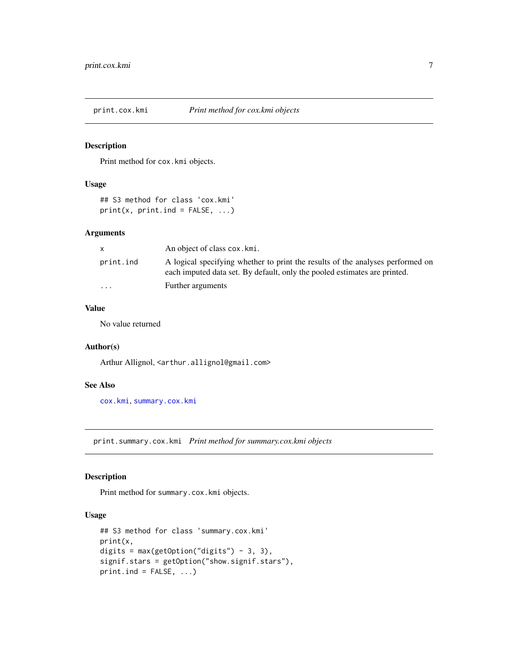<span id="page-6-1"></span><span id="page-6-0"></span>

## Description

Print method for cox.kmi objects.

## Usage

```
## S3 method for class 'cox.kmi'
print(x, print.ind = FALSE, ...)
```
## Arguments

| X         | An object of class cox. kmi.                                                                                                                                |
|-----------|-------------------------------------------------------------------------------------------------------------------------------------------------------------|
| print.ind | A logical specifying whether to print the results of the analyses performed on<br>each imputed data set. By default, only the pooled estimates are printed. |
| $\cdots$  | Further arguments                                                                                                                                           |

## Value

No value returned

## Author(s)

Arthur Allignol, <arthur.allignol@gmail.com>

## See Also

[cox.kmi](#page-1-1), [summary.cox.kmi](#page-7-1)

<span id="page-6-2"></span>print.summary.cox.kmi *Print method for summary.cox.kmi objects*

## Description

Print method for summary.cox.kmi objects.

#### Usage

```
## S3 method for class 'summary.cox.kmi'
print(x,
digits = max(getOption("digits") - 3, 3),
signif.stars = getOption("show.signif.stars"),
print.ind = FALSE, ...)
```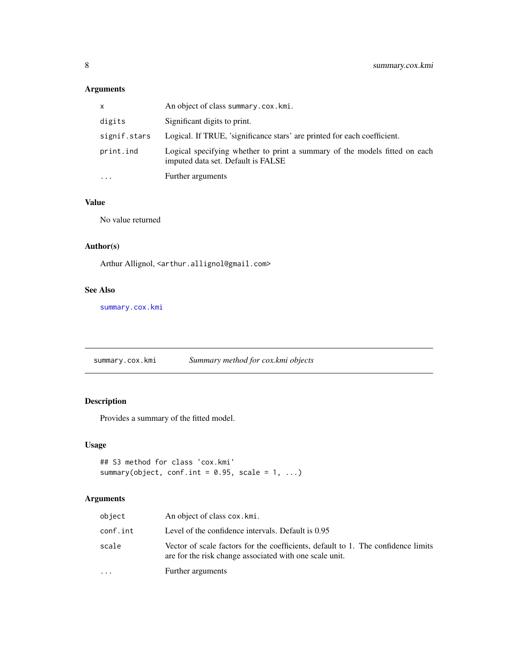## <span id="page-7-0"></span>Arguments

| x            | An object of class summary.cox.kmi.                                                                              |
|--------------|------------------------------------------------------------------------------------------------------------------|
| digits       | Significant digits to print.                                                                                     |
| signif.stars | Logical. If TRUE, 'significance stars' are printed for each coefficient.                                         |
| print.ind    | Logical specifying whether to print a summary of the models fitted on each<br>imputed data set. Default is FALSE |
| $\cdots$     | Further arguments                                                                                                |

## Value

No value returned

## Author(s)

Arthur Allignol, <arthur.allignol@gmail.com>

## See Also

[summary.cox.kmi](#page-7-1)

<span id="page-7-1"></span>summary.cox.kmi *Summary method for cox.kmi objects*

## Description

Provides a summary of the fitted model.

## Usage

```
## S3 method for class 'cox.kmi'
summary(object, conf.int = 0.95, scale = 1, ...)
```
## Arguments

| object   | An object of class cox. kmi.                                                                                                                 |
|----------|----------------------------------------------------------------------------------------------------------------------------------------------|
| conf.int | Level of the confidence intervals. Default is 0.95                                                                                           |
| scale    | Vector of scale factors for the coefficients, default to 1. The confidence limits<br>are for the risk change associated with one scale unit. |
| .        | Further arguments                                                                                                                            |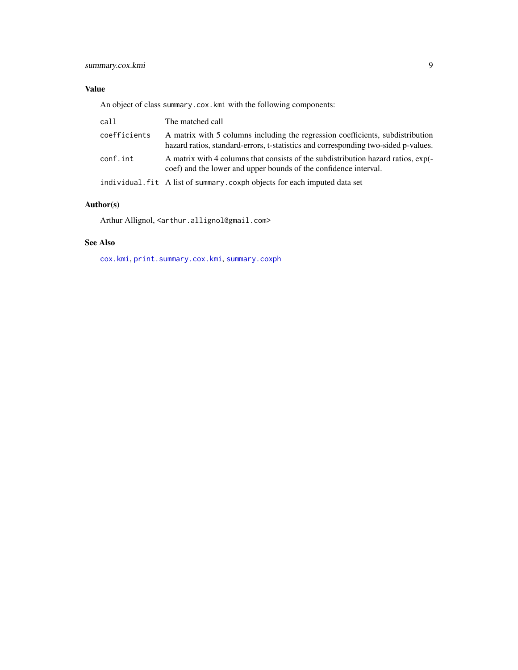## <span id="page-8-0"></span>Value

An object of class summary.cox.kmi with the following components:

| call         | The matched call                                                                                                                                                     |
|--------------|----------------------------------------------------------------------------------------------------------------------------------------------------------------------|
| coefficients | A matrix with 5 columns including the regression coefficients, subdistribution<br>hazard ratios, standard-errors, t-statistics and corresponding two-sided p-values. |
| conf.int     | A matrix with 4 columns that consists of the subdistribution hazard ratios, exp(-<br>coef) and the lower and upper bounds of the confidence interval.                |
|              | individual. fit A list of summary. coxph objects for each imputed data set                                                                                           |

## Author(s)

Arthur Allignol, <arthur.allignol@gmail.com>

## See Also

[cox.kmi](#page-1-1), [print.summary.cox.kmi](#page-6-2), [summary.coxph](#page-0-0)